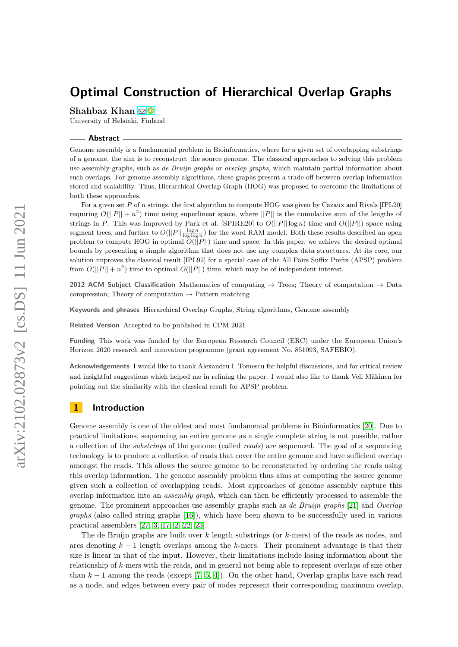# **Optimal Construction of Hierarchical Overlap Graphs**

**Shahbaz Khan** ⊠<sup>®</sup>

University of Helsinki, Finland

#### **Abstract**

Genome assembly is a fundamental problem in Bioinformatics, where for a given set of overlapping substrings of a genome, the aim is to reconstruct the source genome. The classical approaches to solving this problem use assembly graphs, such as *de Bruijn graphs* or *overlap graphs*, which maintain partial information about such overlaps. For genome assembly algorithms, these graphs present a trade-off between overlap information stored and scalability. Thus, Hierarchical Overlap Graph (HOG) was proposed to overcome the limitations of both these approaches.

For a given set *P* of *n* strings, the first algorithm to compute HOG was given by Cazaux and Rivals [IPL20] requiring  $O(||P|| + n^2)$  time using superlinear space, where  $||P||$  is the cumulative sum of the lengths of strings in *P*. This was improved by Park et al. [SPIRE20] to *O*(||*P*|| log *n*) time and *O*(||*P*||) space using segment trees, and further to  $O(||P|| \frac{\log n}{\log \log n})$  for the word RAM model. Both these results described an open problem to compute HOG in optimal *O*(||*P*||) time and space. In this paper, we achieve the desired optimal bounds by presenting a simple algorithm that does not use any complex data structures. At its core, our solution improves the classical result [IPL92] for a special case of the All Pairs Suffix Prefix (APSP) problem from  $O(||P|| + n^2)$  time to optimal  $O(||P||)$  time, which may be of independent interest.

**2012 ACM Subject Classification** Mathematics of computing → Trees; Theory of computation → Data compression: Theory of computation  $\rightarrow$  Pattern matching

**Keywords and phrases** Hierarchical Overlap Graphs, String algorithms, Genome assembly

**Related Version** Accepted to be published in CPM 2021

**Funding** This work was funded by the European Research Council (ERC) under the European Union's Horizon 2020 research and innovation programme (grant agreement No. 851093, SAFEBIO).

**Acknowledgements** I would like to thank Alexandru I. Tomescu for helpful discussions, and for critical review and insightful suggestions which helped me in refining the paper. I would also like to thank Veli Mäkinen for pointing out the similarity with the classical result for APSP problem.

# **1 Introduction**

Genome assembly is one of the oldest and most fundamental problems in Bioinformatics [\[20\]](#page-9-0). Due to practical limitations, sequencing an entire genome as a single complete string is not possible, rather a collection of the *substrings* of the genome (called *reads*) are sequenced. The goal of a sequencing technology is to produce a collection of reads that cover the entire genome and have sufficient overlap amongst the reads. This allows the source genome to be reconstructed by ordering the reads using this overlap information. The genome assembly problem thus aims at computing the source genome given such a collection of overlapping reads. Most approaches of genome assembly capture this overlap information into an *assembly graph*, which can then be efficiently processed to assemble the genome. The prominent approaches use assembly graphs such as *de Bruijn graphs* [\[21\]](#page-9-1) and *Overlap graphs* (also called string graphs [\[16\]](#page-9-2)), which have been shown to be successfully used in various practical assemblers [\[27,](#page-10-0) [3,](#page-8-0) [17,](#page-9-3) [2,](#page-8-1) [22,](#page-9-4) [23\]](#page-9-5).

The de Bruijn graphs are built over *k* length substrings (or *k*-mers) of the reads as nodes, and arcs denoting *k* − 1 length overlaps among the *k*-mers. Their prominent advantage is that their size is linear in that of the input. However, their limitations include losing information about the relationship of *k*-mers with the reads, and in general not being able to represent overlaps of size other than *k* − 1 among the reads (except [\[7,](#page-9-6) [5,](#page-9-7) [4\]](#page-8-2)). On the other hand, Overlap graphs have each read as a node, and edges between every pair of nodes represent their corresponding maximum overlap.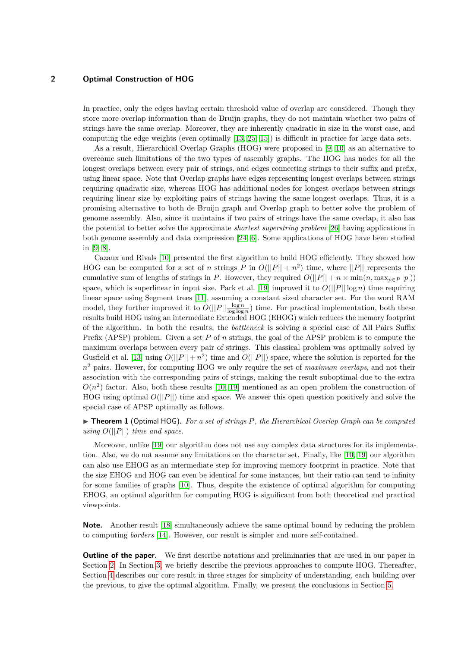In practice, only the edges having certain threshold value of overlap are considered. Though they store more overlap information than de Bruijn graphs, they do not maintain whether two pairs of strings have the same overlap. Moreover, they are inherently quadratic in size in the worst case, and computing the edge weights (even optimally [\[13,](#page-9-8) [25,](#page-9-9) [15\]](#page-9-10)) is difficult in practice for large data sets.

As a result, Hierarchical Overlap Graphs (HOG) were proposed in [\[9,](#page-9-11) [10\]](#page-9-12) as an alternative to overcome such limitations of the two types of assembly graphs. The HOG has nodes for all the longest overlaps between every pair of strings, and edges connecting strings to their suffix and prefix, using linear space. Note that Overlap graphs have edges representing longest overlaps between strings requiring quadratic size, whereas HOG has additional nodes for longest overlaps between strings requiring linear size by exploiting pairs of strings having the same longest overlaps. Thus, it is a promising alternative to both de Bruijn graph and Overlap graph to better solve the problem of genome assembly. Also, since it maintains if two pairs of strings have the same overlap, it also has the potential to better solve the approximate *shortest superstring problem* [\[26\]](#page-10-1) having applications in both genome assembly and data compression [\[24,](#page-9-13) [6\]](#page-9-14). Some applications of HOG have been studied in [\[9,](#page-9-11) [8\]](#page-9-15).

Cazaux and Rivals [\[10\]](#page-9-12) presented the first algorithm to build HOG efficiently. They showed how HOG can be computed for a set of *n* strings *P* in  $O(||P|| + n^2)$  time, where  $||P||$  represents the cumulative sum of lengths of strings in *P*. However, they required  $O(||P|| + n \times \min(n, \max_{p \in P} |p|))$ space, which is superlinear in input size. Park et al. [\[19\]](#page-9-16) improved it to  $O(||P|| \log n)$  time requiring linear space using Segment trees [\[11\]](#page-9-17), assuming a constant sized character set. For the word RAM model, they further improved it to  $O(||P|| \frac{\log n}{\log \log n})$  time. For practical implementation, both these results build HOG using an intermediate Extended HOG (EHOG) which reduces the memory footprint of the algorithm. In both the results, the *bottleneck* is solving a special case of All Pairs Suffix Prefix (APSP) problem. Given a set *P* of *n* strings, the goal of the APSP problem is to compute the maximum overlaps between every pair of strings. This classical problem was optimally solved by Gusfield et al. [\[13\]](#page-9-8) using  $O(||P|| + n^2)$  time and  $O(||P||)$  space, where the solution is reported for the *n* <sup>2</sup> pairs. However, for computing HOG we only require the set of *maximum overlaps*, and not their association with the corresponding pairs of strings, making the result suboptimal due to the extra  $O(n^2)$  factor. Also, both these results [\[10,](#page-9-12) [19\]](#page-9-16) mentioned as an open problem the construction of HOG using optimal *O*(||*P*||) time and space. We answer this open question positively and solve the special case of APSP optimally as follows.

▶ **Theorem 1** (Optimal HOG)**.** *For a set of strings P, the Hierarchical Overlap Graph can be computed using*  $O(||P||)$  *time and space.* 

Moreover, unlike [\[19\]](#page-9-16) our algorithm does not use any complex data structures for its implementation. Also, we do not assume any limitations on the character set. Finally, like [\[10,](#page-9-12) [19\]](#page-9-16) our algorithm can also use EHOG as an intermediate step for improving memory footprint in practice. Note that the size EHOG and HOG can even be identical for some instances, but their ratio can tend to infinity for some families of graphs [\[10\]](#page-9-12). Thus, despite the existence of optimal algorithm for computing EHOG, an optimal algorithm for computing HOG is significant from both theoretical and practical viewpoints.

**Note.** Another result [\[18\]](#page-9-18) simultaneously achieve the same optimal bound by reducing the problem to computing *borders* [\[14\]](#page-9-19). However, our result is simpler and more self-contained.

**Outline of the paper.** We first describe notations and preliminaries that are used in our paper in Section [2.](#page-2-0) In Section [3,](#page-3-0) we briefly describe the previous approaches to compute HOG. Thereafter, Section [4](#page-4-0) describes our core result in three stages for simplicity of understanding, each building over the previous, to give the optimal algorithm. Finally, we present the conclusions in Section [5.](#page-8-3)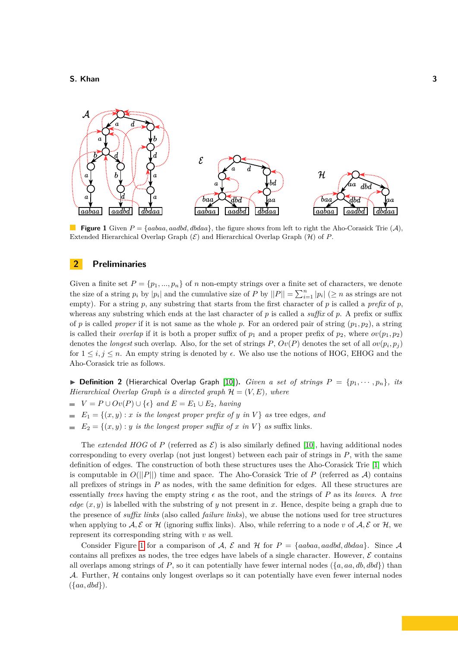<span id="page-2-1"></span>

**Figure 1** Given  $P = \{aabaa, aaddb, dbdaa\}$ , the figure shows from left to right the Aho-Corasick Trie  $(A)$ , Extended Hierarchical Overlap Graph  $(\mathcal{E})$  and Hierarchical Overlap Graph  $(\mathcal{H})$  of *P*.

# <span id="page-2-0"></span>**2 Preliminaries**

Given a finite set  $P = \{p_1, ..., p_n\}$  of *n* non-empty strings over a finite set of characters, we denote the size of a string  $p_i$  by  $|p_i|$  and the cumulative size of  $P$  by  $||P|| = \sum_{i=1}^n |p_i|$  ( $\geq n$  as strings are not empty). For a string  $p$ , any substring that starts from the first character of  $p$  is called a *prefix* of  $p$ , whereas any substring which ends at the last character of *p* is called a *suffix* of *p*. A prefix or suffix of *p* is called *proper* if it is not same as the whole *p*. For an ordered pair of string  $(p_1, p_2)$ , a string is called their *overlap* if it is both a proper suffix of  $p_1$  and a proper prefix of  $p_2$ , where  $ov(p_1, p_2)$ denotes the *longest* such overlap. Also, for the set of strings  $P$ ,  $Ov(P)$  denotes the set of all  $ov(p_i, p_j)$ for  $1 \leq i, j \leq n$ . An empty string is denoted by  $\epsilon$ . We also use the notions of HOG, EHOG and the Aho-Corasick trie as follows.

 $\triangleright$  **Definition 2** (Hierarchical Overlap Graph [\[10\]](#page-9-12)). *Given a set of strings*  $P = \{p_1, \dots, p_n\}$ *, its Hierarchical Overlap Graph is a directed graph*  $\mathcal{H} = (V, E)$ *, where* 

- $V = P \cup Ov(P) \cup \{\epsilon\}$  *and*  $E = E_1 \cup E_2$ *, having*
- $E_1 = \{(x, y) : x \text{ is the longest proper prefix of } y \text{ in } V\}$  as tree edges, and
- $E_2 = \{(x, y) : y \text{ is the longest proper suffix of } x \text{ in } V\}$  *as* suffix links.

The *extended HOG* of *P* (referred as  $\mathcal{E}$ ) is also similarly defined [\[10\]](#page-9-12), having additional nodes corresponding to every overlap (not just longest) between each pair of strings in *P*, with the same definition of edges. The construction of both these structures uses the Aho-Corasick Trie [\[1\]](#page-8-4) which is computable in  $O(||P||)$  time and space. The Aho-Corasick Trie of *P* (referred as *A*) contains all prefixes of strings in *P* as nodes, with the same definition for edges. All these structures are essentially *trees* having the empty string  $\epsilon$  as the root, and the strings of *P* as its *leaves*. A *tree edge*  $(x, y)$  is labelled with the substring of *y* not present in *x*. Hence, despite being a graph due to the presence of *suffix links* (also called *failure links*), we abuse the notions used for tree structures when applying to  $A, E$  or  $H$  (ignoring suffix links). Also, while referring to a node *v* of  $A, E$  or  $H$ , we represent its corresponding string with *v* as well.

Consider Figure [1](#page-2-1) for a comparison of A, E and H for  $P = \{aabaa, aaddd, dbdaa\}$ . Since A contains all prefixes as nodes, the tree edges have labels of a single character. However,  $\mathcal E$  contains all overlaps among strings of *P*, so it can potentially have fewer internal nodes  $({a, aa, db, dbd})$  than A. Further,  $H$  contains only longest overlaps so it can potentially have even fewer internal nodes ({*aa, dbd*}).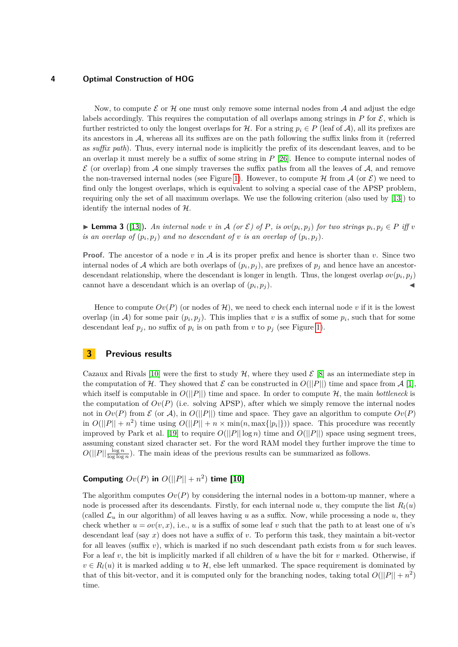Now, to compute  $\mathcal E$  or  $\mathcal H$  one must only remove some internal nodes from  $\mathcal A$  and adjust the edge labels accordingly. This requires the computation of all overlaps among strings in  $P$  for  $\mathcal{E}$ , which is further restricted to only the longest overlaps for  $H$ . For a string  $p_i \in P$  (leaf of A), all its prefixes are its ancestors in A, whereas all its suffixes are on the path following the suffix links from it (referred as *suffix path*). Thus, every internal node is implicitly the prefix of its descendant leaves, and to be an overlap it must merely be a suffix of some string in *P* [\[26\]](#page-10-1). Hence to compute internal nodes of  $\mathcal E$  (or overlap) from A one simply traverses the suffix paths from all the leaves of A, and remove the non-traversed internal nodes (see Figure [1\)](#page-2-1). However, to compute  $\mathcal H$  from  $\mathcal A$  (or  $\mathcal E$ ) we need to find only the longest overlaps, which is equivalent to solving a special case of the APSP problem, requiring only the set of all maximum overlaps. We use the following criterion (also used by [\[13\]](#page-9-8)) to identify the internal nodes of  $H$ .

<span id="page-3-1"></span>**Lemma 3** ([\[13\]](#page-9-8)). An internal node v in A (or  $\mathcal{E}$ ) of P, is  $ov(p_i, p_j)$  for two strings  $p_i, p_j \in P$  iff v *is an overlap of*  $(p_i, p_j)$  *and no descendant of v is an overlap of*  $(p_i, p_j)$ *.* 

**Proof.** The ancestor of a node *v* in A is its proper prefix and hence is shorter than *v*. Since two internal nodes of A which are both overlaps of  $(p_i, p_j)$ , are prefixes of  $p_j$  and hence have an ancestordescendant relationship, where the descendant is longer in length. Thus, the longest overlap  $ov(p_i, p_j)$ cannot have a descendant which is an overlap of  $(p_i, p_j)$ .  $, p_j$ ).

Hence to compute  $Ov(P)$  (or nodes of  $\mathcal{H}$ ), we need to check each internal node v if it is the lowest overlap (in A) for some pair  $(p_i, p_j)$ . This implies that *v* is a suffix of some  $p_i$ , such that for some descendant leaf  $p_j$ , no suffix of  $p_i$  is on path from  $v$  to  $p_j$  (see Figure [1\)](#page-2-1).

# <span id="page-3-0"></span>**3 Previous results**

Cazaux and Rivals [\[10\]](#page-9-12) were the first to study H, where they used  $\mathcal{E}$  [\[8\]](#page-9-15) as an intermediate step in the computation of H. They showed that  $\mathcal E$  can be constructed in  $O(||P||)$  time and space from  $\mathcal A$  [\[1\]](#page-8-4). which itself is computable in  $O(||P||)$  time and space. In order to compute  $H$ , the main *bottleneck* is the computation of  $Ov(P)$  (i.e. solving APSP), after which we simply remove the internal nodes not in  $Ov(P)$  from  $\mathcal E$  (or  $\mathcal A$ ), in  $O(||P||)$  time and space. They gave an algorithm to compute  $Ov(P)$ in  $O(||P|| + n^2)$  time using  $O(||P|| + n \times \min(n, \max\{|p_i|\}))$  space. This procedure was recently improved by Park et al. [\[19\]](#page-9-16) to require  $O(||P|| \log n)$  time and  $O(||P||)$  space using segment trees, assuming constant sized character set. For the word RAM model they further improve the time to  $O(||P|| \frac{\log n}{\log \log n})$ . The main ideas of the previous results can be summarized as follows.

# **Computing**  $Ov(P)$  in  $O(||P|| + n^2)$  time [\[10\]](#page-9-12)

The algorithm computes  $Ov(P)$  by considering the internal nodes in a bottom-up manner, where a node is processed after its descendants. Firstly, for each internal node  $u$ , they compute the list  $R_l(u)$ (called  $\mathcal{L}_u$  in our algorithm) of all leaves having *u* as a suffix. Now, while processing a node *u*, they check whether  $u = ov(v, x)$ , i.e., *u* is a suffix of some leaf *v* such that the path to at least one of *u*'s descendant leaf (say *x*) does not have a suffix of *v*. To perform this task, they maintain a bit-vector for all leaves (suffix *v*), which is marked if no such descendant path exists from *u* for such leaves. For a leaf *v*, the bit is implicitly marked if all children of *u* have the bit for *v* marked. Otherwise, if  $v \in R_l(u)$  it is marked adding *u* to  $H$ , else left unmarked. The space requirement is dominated by that of this bit-vector, and it is computed only for the branching nodes, taking total  $O(||P|| + n^2)$ time.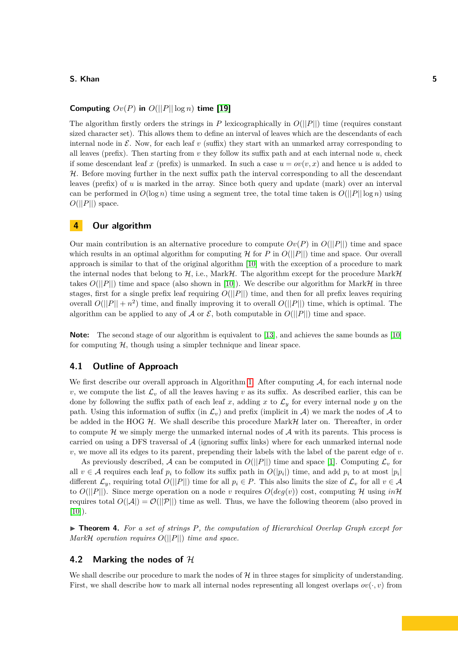### **Computing**  $Ov(P)$  in  $O(||P|| \log n)$  time [\[19\]](#page-9-16)

The algorithm firstly orders the strings in *P* lexicographically in  $O(||P||)$  time (requires constant sized character set). This allows them to define an interval of leaves which are the descendants of each internal node in  $\mathcal{E}$ . Now, for each leaf  $v$  (suffix) they start with an unmarked array corresponding to all leaves (prefix). Then starting from *v* they follow its suffix path and at each internal node *u*, check if some descendant leaf x (prefix) is unmarked. In such a case  $u = ov(v, x)$  and hence u is added to  $H$ . Before moving further in the next suffix path the interval corresponding to all the descendant leaves (prefix) of *u* is marked in the array. Since both query and update (mark) over an interval can be performed in  $O(\log n)$  time using a segment tree, the total time taken is  $O(||P|| \log n)$  using  $O(||P||)$  space.

# <span id="page-4-0"></span>**4 Our algorithm**

Our main contribution is an alternative procedure to compute  $Ov(P)$  in  $O(||P||)$  time and space which results in an optimal algorithm for computing  $\mathcal H$  for  $P$  in  $O(||P||)$  time and space. Our overall approach is similar to that of the original algorithm [\[10\]](#page-9-12) with the exception of a procedure to mark the internal nodes that belong to  $H$ , i.e., Mark $H$ . The algorithm except for the procedure Mark $H$ takes  $O(||P||)$  time and space (also shown in [\[10\]](#page-9-12)). We describe our algorithm for Mark $\mathcal{H}$  in three stages, first for a single prefix leaf requiring  $O(||P||)$  time, and then for all prefix leaves requiring overall  $O(||P|| + n^2)$  time, and finally improving it to overall  $O(||P||)$  time, which is optimal. The algorithm can be applied to any of A or  $\mathcal{E}$ , both computable in  $O(||P||)$  time and space.

**Note:** The second stage of our algorithm is equivalent to [\[13\]](#page-9-8), and achieves the same bounds as [\[10\]](#page-9-12) for computing  $H$ , though using a simpler technique and linear space.

# **4.1 Outline of Approach**

We first describe our overall approach in Algorithm [1.](#page-5-0) After computing  $A$ , for each internal node *v*, we compute the list  $\mathcal{L}_v$  of all the leaves having *v* as its suffix. As described earlier, this can be done by following the suffix path of each leaf x, adding x to  $\mathcal{L}_y$  for every internal node y on the path. Using this information of suffix (in  $\mathcal{L}_v$ ) and prefix (implicit in  $\mathcal{A}$ ) we mark the nodes of  $\mathcal{A}$  to be added in the HOG  $H$ . We shall describe this procedure Mark $H$  later on. Thereafter, in order to compute  $H$  we simply merge the unmarked internal nodes of  $A$  with its parents. This process is carried on using a DFS traversal of  $A$  (ignoring suffix links) where for each unmarked internal node *v*, we move all its edges to its parent, prepending their labels with the label of the parent edge of *v*.

As previously described, A can be computed in  $O(||P||)$  time and space [\[1\]](#page-8-4). Computing  $\mathcal{L}_v$  for all  $v \in A$  requires each leaf  $p_i$  to follow its suffix path in  $O(|p_i|)$  time, and add  $p_i$  to at most  $|p_i|$ different  $\mathcal{L}_y$ , requiring total  $O(||P||)$  time for all  $p_i \in P$ . This also limits the size of  $\mathcal{L}_v$  for all  $v \in \mathcal{A}$ to  $O(||P||)$ . Since merge operation on a node *v* requires  $O(deg(v))$  cost, computing H using  $in\mathcal{H}$ requires total  $O(|\mathcal{A}|) = \mathcal{O}(|\mathcal{P}||)$  time as well. Thus, we have the following theorem (also proved in  $[10]$ ).

<span id="page-4-1"></span>▶ **Theorem 4.** *For a set of strings P, the computation of Hierarchical Overlap Graph except for Mark*H *operation requires O*(||*P*||) *time and space.*

# **4.2 Marking the nodes of** H

We shall describe our procedure to mark the nodes of  $H$  in three stages for simplicity of understanding. First, we shall describe how to mark all internal nodes representing all longest overlaps  $ov(\cdot, v)$  from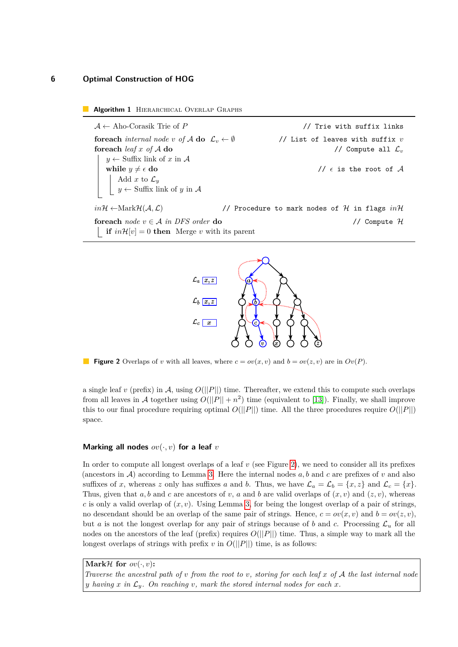**Algorithm 1** HIERARCHICAL OVERLAP GRAPHS

<span id="page-5-0"></span>A ← Aho-Corasik Trie of *P* // Trie with suffix links **foreach** *internal node v* of A **do**  $\mathcal{L}_v \leftarrow \emptyset$  // List of leaves with suffix *v* **foreach** *leaf x of* A **do** // Compute all L*<sup>v</sup>*  $y \leftarrow$  Suffix link of x in A **while**  $y \neq \epsilon$  **do** //  $\epsilon$  is the root of A Add  $x$  to  $\mathcal{L}_y$  $y \leftarrow$  Suffix link of *y* in A  $in\mathcal{H} \leftarrow \text{MarkH}(\mathcal{A}, \mathcal{L})$  // Procedure to mark nodes of H in flags  $in\mathcal{H}$ **foreach** *node v* ∈ A *in DFS order* **do** // Compute H **if**  $in\mathcal{H}[v] = 0$  **then** Merge *v* with its parent

<span id="page-5-1"></span>

**Figure 2** Overlaps of *v* with all leaves, where  $c = ov(x, v)$  and  $b = ov(z, v)$  are in  $Ov(P)$ .

a single leaf *v* (prefix) in A, using  $O(||P||)$  time. Thereafter, we extend this to compute such overlaps from all leaves in A together using  $O(||P|| + n^2)$  time (equivalent to [\[13\]](#page-9-8)). Finally, we shall improve this to our final procedure requiring optimal  $O(||P||)$  time. All the three procedures require  $O(||P||)$ space.

#### **Marking all nodes** *ov*(·*, v*) **for a leaf** *v*

In order to compute all longest overlaps of a leaf *v* (see Figure [2\)](#page-5-1), we need to consider all its prefixes (ancestors in A) according to Lemma [3.](#page-3-1) Here the internal nodes *a, b* and *c* are prefixes of *v* and also suffixes of *x*, whereas *z* only has suffixes *a* and *b*. Thus, we have  $\mathcal{L}_a = \mathcal{L}_b = \{x, z\}$  and  $\mathcal{L}_c = \{x\}$ . Thus, given that  $a, b$  and  $c$  are ancestors of  $v, a$  and  $b$  are valid overlaps of  $(x, v)$  and  $(z, v)$ , whereas *c* is only a valid overlap of  $(x, y)$ . Using Lemma [3,](#page-3-1) for being the longest overlap of a pair of strings, no descendant should be an overlap of the same pair of strings. Hence,  $c = ov(x, v)$  and  $b = ov(z, v)$ , but *a* is not the longest overlap for any pair of strings because of *b* and *c*. Processing  $\mathcal{L}_u$  for all nodes on the ancestors of the leaf (prefix) requires  $O(||P||)$  time. Thus, a simple way to mark all the longest overlaps of strings with prefix  $v$  in  $O(||P||)$  time, is as follows:

**Mark** $H$  **for**  $ov(\cdot, v)$ : *Traverse the ancestral path of v from the root to v, storing for each leaf x of* A *the last internal node y* having *x* in  $\mathcal{L}_y$ *. On reaching v, mark the stored internal nodes for each x.*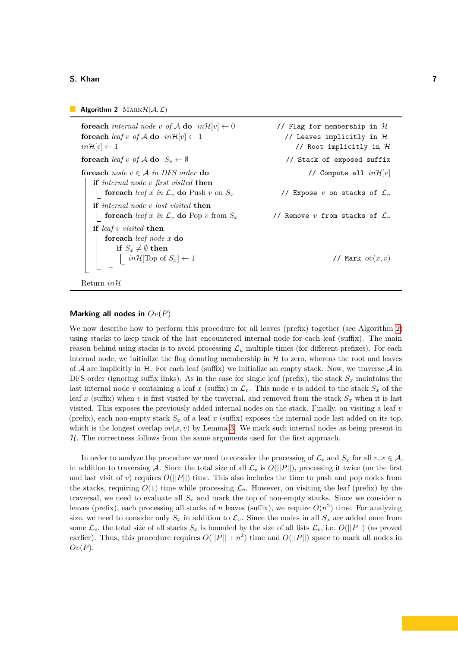**Algorithm 2** MARK $H(A, \mathcal{L})$ 

<span id="page-6-0"></span>**foreach** *internal node v* of A **do**  $in\mathcal{H}[v] \leftarrow 0$  // Flag for membership in H **foreach** *leaf v of A* **do**  $in\mathcal{H}[v] \leftarrow 1$  // Leaves implicitly in  $\mathcal{H}$  $in\mathcal{H}[\epsilon] \leftarrow 1$  // Root implicitly in H **foreach**  $\text{leaf } v$  of  $A$  **do**  $S_v \leftarrow \emptyset$  // Stack of exposed suffix **foreach**  $node \ v \in A$  *in DFS order* **do** // Compute all  $in\mathcal{H}[v]$ **if** *internal node v first visited* **then foreach** *leaf x in*  $\mathcal{L}_v$  **do** Push *v* on  $S_x$  // Expose *v* on stacks of  $\mathcal{L}_v$ **if** *internal node v last visited* **then foreach** *leaf x in*  $\mathcal{L}_v$  **do** Pop *v* from *S<sub>x</sub>* // Remove *v* from stacks of  $\mathcal{L}_v$ **if** *leaf v visited* **then foreach** *leaf node x* **do**  $\mathbf{if} \ \ S_x \neq \emptyset \ \mathbf{then}$  $in\mathcal{H}[\text{Top of }S_x] \leftarrow 1$  // Mark  $ov(x, v)$ 

Return *in*H

#### **Marking all nodes in** *Ov*(*P*)

We now describe how to perform this procedure for all leaves (prefix) together (see Algorithm [2\)](#page-6-0) using stacks to keep track of the last encountered internal node for each leaf (suffix). The main reason behind using stacks is to avoid processing  $\mathcal{L}_u$  multiple times (for different prefixes). For each internal node, we initialize the flag denoting membership in  $H$  to zero, whereas the root and leaves of A are implicitly in H. For each leaf (suffix) we initialize an empty stack. Now, we traverse A in DFS order (ignoring suffix links). As in the case for single leaf (prefix), the stack  $S_x$  maintains the last internal node *v* containing a leaf *x* (suffix) in  $\mathcal{L}_v$ . This node *v* is added to the stack  $S_x$  of the leaf x (suffix) when v is first visited by the traversal, and removed from the stack  $S_x$  when it is last visited. This exposes the previously added internal nodes on the stack. Finally, on visiting a leaf *v* (prefix), each non-empty stack  $S_x$  of a leaf x (suffix) exposes the internal node last added on its top, which is the longest overlap  $ov(x, v)$  by Lemma [3.](#page-3-1) We mark such internal nodes as being present in  $H$ . The correctness follows from the same arguments used for the first approach.

In order to analyze the procedure we need to consider the processing of  $\mathcal{L}_v$  and  $S_x$  for all  $v, x \in \mathcal{A}$ , in addition to traversing A. Since the total size of all  $\mathcal{L}_v$  is  $O(||P||)$ , processing it twice (on the first and last visit of *v*) requires  $O(||P||)$  time. This also includes the time to push and pop nodes from the stacks, requiring  $O(1)$  time while processing  $\mathcal{L}_v$ . However, on visiting the leaf (prefix) by the traversal, we need to evaluate all  $S_x$  and mark the top of non-empty stacks. Since we consider *n* leaves (prefix), each processing all stacks of *n* leaves (suffix), we require  $O(n^2)$  time. For analyzing size, we need to consider only  $S_x$  in addition to  $\mathcal{L}_v$ . Since the nodes in all  $S_x$  are added once from some  $\mathcal{L}_v$ , the total size of all stacks  $S_x$  is bounded by the size of all lists  $\mathcal{L}_v$ , i.e.  $O(||P||)$  (as proved earlier). Thus, this procedure requires  $O(||P|| + n^2)$  time and  $O(||P||)$  space to mark all nodes in *Ov*(*P*).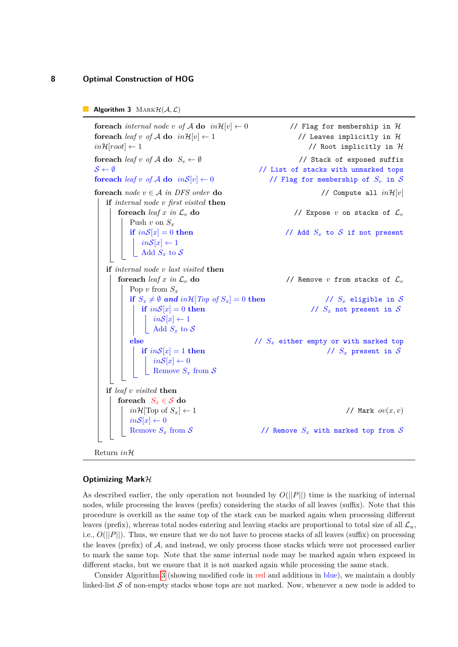```
Algorithm 3 \text{MARKH}(\mathcal{A}, \mathcal{L})
```
<span id="page-7-0"></span>**foreach** *internal node v of A* **do**  $in\mathcal{H}[v] \leftarrow 0$  // Flag for membership in  $\mathcal{H}$ **foreach** *leaf v of A* **do**  $in\mathcal{H}[v] \leftarrow 1$  // Leaves implicitly in  $\mathcal{H}$  $in\mathcal{H}[root] \leftarrow 1$  // Root implicitly in H **foreach**  $\text{leaf } v$  of  $A$  **do**  $S_v \leftarrow \emptyset$  // Stack of exposed suffix  $S \leftarrow \emptyset$  // List of stacks with unmarked tops **foreach**  $\text{leaf } v \text{ of } A$  **do**  $\text{in } S[v] \leftarrow 0$  // Flag for membership of  $S_v$  in S **foreach**  $node \ v \in A$  *in DFS order* **do** // Compute all  $in\mathcal{H}[v]$ **if** *internal node v first visited* **then foreach**  $\text{leaf } x \text{ in } \mathcal{L}_v$  **do** // Expose *v* on stacks of  $\mathcal{L}_v$ Push  $v$  on  $S_x$ **if**  $inS[x] = 0$  then // Add  $S_x$  to S if not present  $in\mathcal{S}[x] \leftarrow 1$  $\overline{\phantom{a}}$  Add  $S_x$  to S **if** *internal node v last visited* **then foreach**  $\text{leaf } x$  in  $\mathcal{L}_v$  **do** // Remove *v* from stacks of  $\mathcal{L}_v$ Pop  $v$  from  $S_x$ **if**  $S_x \neq \emptyset$  and  $in\mathcal{H}[Top\ of\ S_x] = 0$  then //  $S_x$  eligible in S **if**  $inS[x] = 0$  then //  $S_x$  not present in S  $in\mathcal{S}[x] \leftarrow 1$  $\Box$  Add  $S_x$  to  $S$ **else** // *S<sup>x</sup>* either empty or with marked top **if**  $inS[x] = 1$  **then** //  $S_x$  present in S  $in\mathcal{S}[x] \leftarrow 0$ Remove  $S_x$  from  $S$ **if** *leaf v visited* **then foreach**  $S_x \in \mathcal{S}$  **do**  $in\mathcal{H}[\text{Top of }S_x] \leftarrow 1$  // Mark  $ov(x, v)$  $in\mathcal{S}[x] \leftarrow 0$ // Remove  $S_x$  with marked top from  $S$ Return *in*H

#### **Optimizing Mark**H

As described earlier, the only operation not bounded by *O*(||*P*||) time is the marking of internal nodes, while processing the leaves (prefix) considering the stacks of all leaves (suffix). Note that this procedure is overkill as the same top of the stack can be marked again when processing different leaves (prefix), whereas total nodes entering and leaving stacks are proportional to total size of all  $\mathcal{L}_u$ , i.e., *O*(||*P*||). Thus, we ensure that we do not have to process stacks of all leaves (suffix) on processing the leaves (prefix) of  $A$ , and instead, we only process those stacks which were not processed earlier to mark the same top. Note that the same internal node may be marked again when exposed in different stacks, but we ensure that it is not marked again while processing the same stack.

Consider Algorithm [3](#page-7-0) (showing modified code in red and additions in blue), we maintain a doubly linked-list  $S$  of non-empty stacks whose tops are not marked. Now, whenever a new node is added to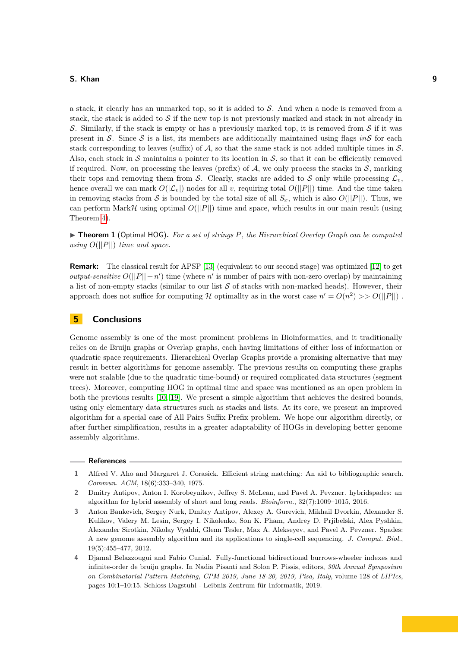a stack, it clearly has an unmarked top, so it is added to  $S$ . And when a node is removed from a stack, the stack is added to  $S$  if the new top is not previously marked and stack in not already in S. Similarly, if the stack is empty or has a previously marked top, it is removed from S if it was present in  $S$ . Since  $S$  is a list, its members are additionally maintained using flags *in* $S$  for each stack corresponding to leaves (suffix) of A, so that the same stack is not added multiple times in  $S$ . Also, each stack in S maintains a pointer to its location in S, so that it can be efficiently removed if required. Now, on processing the leaves (prefix) of  $A$ , we only process the stacks in  $S$ , marking their tops and removing them from S. Clearly, stacks are added to S only while processing  $\mathcal{L}_v$ , hence overall we can mark  $O(|\mathcal{L}_v|)$  nodes for all *v*, requiring total  $O(||P||)$  time. And the time taken in removing stacks from S is bounded by the total size of all  $S<sub>x</sub>$ , which is also  $O(||P||)$ . Thus, we can perform Mark $H$  using optimal  $O(||P||)$  time and space, which results in our main result (using Theorem [4\)](#page-4-1).

▶ **Theorem 1** (Optimal HOG)**.** *For a set of strings P, the Hierarchical Overlap Graph can be computed using*  $O(||P||)$  *time and space.* 

**Remark:** The classical result for APSP [\[13\]](#page-9-8) (equivalent to our second stage) was optimized [\[12\]](#page-9-20) to get *output-sensitive*  $O(||P|| + n')$  time (where *n'* is number of pairs with non-zero overlap) by maintaining a list of non-empty stacks (similar to our list  $S$  of stacks with non-marked heads). However, their approach does not suffice for computing H optimallty as in the worst case  $n' = O(n^2) >> O(||P||)$ .

# <span id="page-8-3"></span>**5 Conclusions**

Genome assembly is one of the most prominent problems in Bioinformatics, and it traditionally relies on de Bruijn graphs or Overlap graphs, each having limitations of either loss of information or quadratic space requirements. Hierarchical Overlap Graphs provide a promising alternative that may result in better algorithms for genome assembly. The previous results on computing these graphs were not scalable (due to the quadratic time-bound) or required complicated data structures (segment trees). Moreover, computing HOG in optimal time and space was mentioned as an open problem in both the previous results [\[10,](#page-9-12) [19\]](#page-9-16). We present a simple algorithm that achieves the desired bounds, using only elementary data structures such as stacks and lists. At its core, we present an improved algorithm for a special case of All Pairs Suffix Prefix problem. We hope our algorithm directly, or after further simplification, results in a greater adaptability of HOGs in developing better genome assembly algorithms.

### **References**

<span id="page-8-4"></span>**<sup>1</sup>** Alfred V. Aho and Margaret J. Corasick. Efficient string matching: An aid to bibliographic search. *Commun. ACM*, 18(6):333–340, 1975.

<span id="page-8-1"></span>**<sup>2</sup>** Dmitry Antipov, Anton I. Korobeynikov, Jeffrey S. McLean, and Pavel A. Pevzner. hybridspades: an algorithm for hybrid assembly of short and long reads. *Bioinform.*, 32(7):1009–1015, 2016.

<span id="page-8-0"></span>**<sup>3</sup>** Anton Bankevich, Sergey Nurk, Dmitry Antipov, Alexey A. Gurevich, Mikhail Dvorkin, Alexander S. Kulikov, Valery M. Lesin, Sergey I. Nikolenko, Son K. Pham, Andrey D. Prjibelski, Alex Pyshkin, Alexander Sirotkin, Nikolay Vyahhi, Glenn Tesler, Max A. Alekseyev, and Pavel A. Pevzner. Spades: A new genome assembly algorithm and its applications to single-cell sequencing. *J. Comput. Biol.*, 19(5):455–477, 2012.

<span id="page-8-2"></span>**<sup>4</sup>** Djamal Belazzougui and Fabio Cunial. Fully-functional bidirectional burrows-wheeler indexes and infinite-order de bruijn graphs. In Nadia Pisanti and Solon P. Pissis, editors, *30th Annual Symposium on Combinatorial Pattern Matching, CPM 2019, June 18-20, 2019, Pisa, Italy*, volume 128 of *LIPIcs*, pages 10:1–10:15. Schloss Dagstuhl - Leibniz-Zentrum für Informatik, 2019.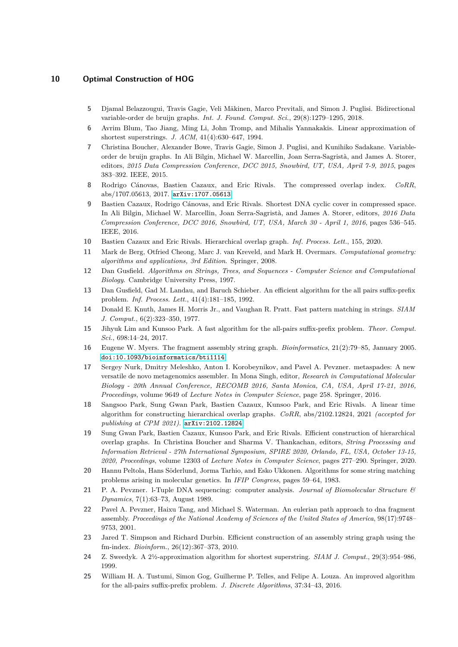- <span id="page-9-7"></span>**5** Djamal Belazzougui, Travis Gagie, Veli Mäkinen, Marco Previtali, and Simon J. Puglisi. Bidirectional variable-order de bruijn graphs. *Int. J. Found. Comput. Sci.*, 29(8):1279–1295, 2018.
- <span id="page-9-14"></span>**6** Avrim Blum, Tao Jiang, Ming Li, John Tromp, and Mihalis Yannakakis. Linear approximation of shortest superstrings. *J. ACM*, 41(4):630–647, 1994.
- <span id="page-9-6"></span>**7** Christina Boucher, Alexander Bowe, Travis Gagie, Simon J. Puglisi, and Kunihiko Sadakane. Variableorder de bruijn graphs. In Ali Bilgin, Michael W. Marcellin, Joan Serra-Sagristà, and James A. Storer, editors, *2015 Data Compression Conference, DCC 2015, Snowbird, UT, USA, April 7-9, 2015*, pages 383–392. IEEE, 2015.
- <span id="page-9-15"></span>**8** Rodrigo Cánovas, Bastien Cazaux, and Eric Rivals. The compressed overlap index. *CoRR*, abs/1707.05613, 2017. [arXiv:1707.05613](http://arxiv.org/abs/1707.05613).
- <span id="page-9-11"></span>**9** Bastien Cazaux, Rodrigo Cánovas, and Eric Rivals. Shortest DNA cyclic cover in compressed space. In Ali Bilgin, Michael W. Marcellin, Joan Serra-Sagristà, and James A. Storer, editors, *2016 Data Compression Conference, DCC 2016, Snowbird, UT, USA, March 30 - April 1, 2016*, pages 536–545. IEEE, 2016.
- <span id="page-9-12"></span>**10** Bastien Cazaux and Eric Rivals. Hierarchical overlap graph. *Inf. Process. Lett.*, 155, 2020.
- <span id="page-9-17"></span>**11** Mark de Berg, Otfried Cheong, Marc J. van Kreveld, and Mark H. Overmars. *Computational geometry: algorithms and applications, 3rd Edition*. Springer, 2008.
- <span id="page-9-20"></span>**12** Dan Gusfield. *Algorithms on Strings, Trees, and Sequences - Computer Science and Computational Biology*. Cambridge University Press, 1997.
- <span id="page-9-8"></span>**13** Dan Gusfield, Gad M. Landau, and Baruch Schieber. An efficient algorithm for the all pairs suffix-prefix problem. *Inf. Process. Lett.*, 41(4):181–185, 1992.
- <span id="page-9-19"></span>**14** Donald E. Knuth, James H. Morris Jr., and Vaughan R. Pratt. Fast pattern matching in strings. *SIAM J. Comput.*, 6(2):323–350, 1977.
- <span id="page-9-10"></span>**15** Jihyuk Lim and Kunsoo Park. A fast algorithm for the all-pairs suffix-prefix problem. *Theor. Comput. Sci.*, 698:14–24, 2017.
- <span id="page-9-2"></span>**16** Eugene W. Myers. The fragment assembly string graph. *Bioinformatics*, 21(2):79–85, January 2005. [doi:10.1093/bioinformatics/bti1114](https://doi.org/10.1093/bioinformatics/bti1114).
- <span id="page-9-3"></span>**17** Sergey Nurk, Dmitry Meleshko, Anton I. Korobeynikov, and Pavel A. Pevzner. metaspades: A new versatile de novo metagenomics assembler. In Mona Singh, editor, *Research in Computational Molecular Biology - 20th Annual Conference, RECOMB 2016, Santa Monica, CA, USA, April 17-21, 2016, Proceedings*, volume 9649 of *Lecture Notes in Computer Science*, page 258. Springer, 2016.
- <span id="page-9-18"></span>**18** Sangsoo Park, Sung Gwan Park, Bastien Cazaux, Kunsoo Park, and Eric Rivals. A linear time algorithm for constructing hierarchical overlap graphs. *CoRR*, abs/2102.12824, 2021 *(accepted for publishing at CPM 2021)*. [arXiv:2102.12824](http://arxiv.org/abs/2102.12824).
- <span id="page-9-16"></span>**19** Sung Gwan Park, Bastien Cazaux, Kunsoo Park, and Eric Rivals. Efficient construction of hierarchical overlap graphs. In Christina Boucher and Sharma V. Thankachan, editors, *String Processing and Information Retrieval - 27th International Symposium, SPIRE 2020, Orlando, FL, USA, October 13-15, 2020, Proceedings*, volume 12303 of *Lecture Notes in Computer Science*, pages 277–290. Springer, 2020.
- <span id="page-9-0"></span>**20** Hannu Peltola, Hans Söderlund, Jorma Tarhio, and Esko Ukkonen. Algorithms for some string matching problems arising in molecular genetics. In *IFIP Congress*, pages 59–64, 1983.
- <span id="page-9-1"></span>**21** P. A. Pevzner. l-Tuple DNA sequencing: computer analysis. *Journal of Biomolecular Structure & Dynamics*, 7(1):63–73, August 1989.
- <span id="page-9-4"></span>**22** Pavel A. Pevzner, Haixu Tang, and Michael S. Waterman. An eulerian path approach to dna fragment assembly. *Proceedings of the National Academy of Sciences of the United States of America*, 98(17):9748– 9753, 2001.
- <span id="page-9-5"></span>**23** Jared T. Simpson and Richard Durbin. Efficient construction of an assembly string graph using the fm-index. *Bioinform.*, 26(12):367–373, 2010.
- <span id="page-9-13"></span>**24** Z. Sweedyk. A 2½-approximation algorithm for shortest superstring. *SIAM J. Comput.*, 29(3):954–986, 1999.
- <span id="page-9-9"></span>**25** William H. A. Tustumi, Simon Gog, Guilherme P. Telles, and Felipe A. Louza. An improved algorithm for the all-pairs suffix-prefix problem. *J. Discrete Algorithms*, 37:34–43, 2016.